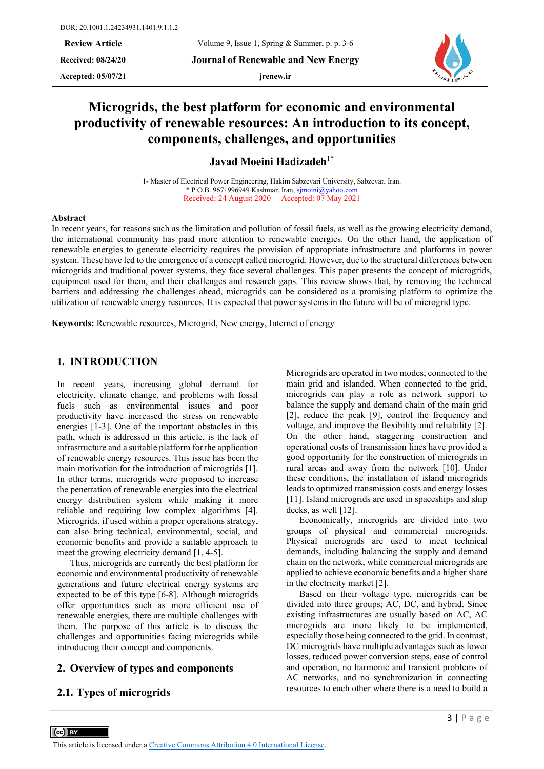**Received: 08/24/20 Journal of Renewable and New Energy**

**Accepted: 05/07/21 jrenew.ir**



# **Microgrids, the best platform for economic and environmental productivity of renewable resources: An introduction to its concept, components, challenges, and opportunities**

**Javad Moeini Hadizadeh**1\*

1- Master of Electrical Power Engineering, Hakim Sabzevari University, Sabzevar, Iran. \* P.O.B. 9671996949 Kashmar, Iran, [sjmoini@yahoo.com](mailto:sjmoini@yahoo.com) Received: 24 August 2020 Accepted: 07 May 2021

#### **Abstract**

In recent years, for reasons such as the limitation and pollution of fossil fuels, as well as the growing electricity demand, the international community has paid more attention to renewable energies. On the other hand, the application of renewable energies to generate electricity requires the provision of appropriate infrastructure and platforms in power system. These have led to the emergence of a concept called microgrid. However, due to the structural differences between microgrids and traditional power systems, they face several challenges. This paper presents the concept of microgrids, equipment used for them, and their challenges and research gaps. This review shows that, by removing the technical barriers and addressing the challenges ahead, microgrids can be considered as a promising platform to optimize the utilization of renewable energy resources. It is expected that power systems in the future will be of microgrid type.

**Keywords:** Renewable resources, Microgrid, New energy, Internet of energy

#### **1. INTRODUCTION**

In recent years, increasing global demand for electricity, climate change, and problems with fossil fuels such as environmental issues and poor productivity have increased the stress on renewable energies [1-3]. One of the important obstacles in this path, which is addressed in this article, is the lack of infrastructure and a suitable platform for the application of renewable energy resources. This issue has been the main motivation for the introduction of microgrids [1]. In other terms, microgrids were proposed to increase the penetration of renewable energies into the electrical energy distribution system while making it more reliable and requiring low complex algorithms [4]. Microgrids, if used within a proper operations strategy, can also bring technical, environmental, social, and economic benefits and provide a suitable approach to meet the growing electricity demand [1, 4-5].

Thus, microgrids are currently the best platform for economic and environmental productivity of renewable generations and future electrical energy systems are expected to be of this type [6-8]. Although microgrids offer opportunities such as more efficient use of renewable energies, there are multiple challenges with them. The purpose of this article is to discuss the challenges and opportunities facing microgrids while introducing their concept and components.

#### **2. Overview of types and components**

#### **2.1. Types of microgrids**

 $\left(\text{cc}\right)$  BY

Microgrids are operated in two modes; connected to the main grid and islanded. When connected to the grid, microgrids can play a role as network support to balance the supply and demand chain of the main grid [2], reduce the peak [9], control the frequency and voltage, and improve the flexibility and reliability [2]. On the other hand, staggering construction and operational costs of transmission lines have provided a good opportunity for the construction of microgrids in rural areas and away from the network [10]. Under these conditions, the installation of island microgrids leads to optimized transmission costs and energy losses [11]. Island microgrids are used in spaceships and ship decks, as well [12].

Economically, microgrids are divided into two groups of physical and commercial microgrids. Physical microgrids are used to meet technical demands, including balancing the supply and demand chain on the network, while commercial microgrids are applied to achieve economic benefits and a higher share in the electricity market [2].

Based on their voltage type, microgrids can be divided into three groups; AC, DC, and hybrid. Since existing infrastructures are usually based on AC, AC microgrids are more likely to be implemented, especially those being connected to the grid. In contrast, DC microgrids have multiple advantages such as lower losses, reduced power conversion steps, ease of control and operation, no harmonic and transient problems of AC networks, and no synchronization in connecting resources to each other where there is a need to build a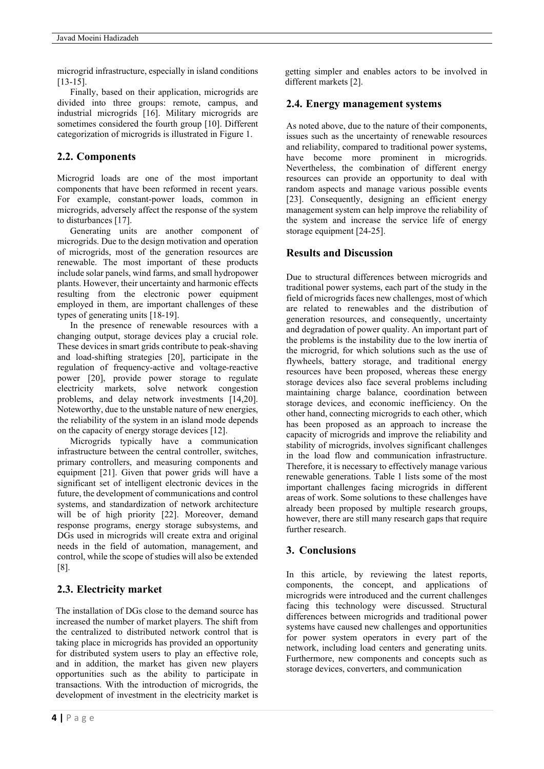microgrid infrastructure, especially in island conditions [13-15].

Finally, based on their application, microgrids are divided into three groups: remote, campus, and industrial microgrids [16]. Military microgrids are sometimes considered the fourth group [10]. Different categorization of microgrids is illustrated in Figure 1.

# **2.2. Components**

Microgrid loads are one of the most important components that have been reformed in recent years. For example, constant-power loads, common in microgrids, adversely affect the response of the system to disturbances [17].

Generating units are another component of microgrids. Due to the design motivation and operation of microgrids, most of the generation resources are renewable. The most important of these products include solar panels, wind farms, and small hydropower plants. However, their uncertainty and harmonic effects resulting from the electronic power equipment employed in them, are important challenges of these types of generating units [18-19].

In the presence of renewable resources with a changing output, storage devices play a crucial role. These devices in smart grids contribute to peak-shaving and load-shifting strategies [20], participate in the regulation of frequency-active and voltage-reactive power [20], provide power storage to regulate electricity markets, solve network congestion problems, and delay network investments [14,20]. Noteworthy, due to the unstable nature of new energies, the reliability of the system in an island mode depends on the capacity of energy storage devices [12].

Microgrids typically have a communication infrastructure between the central controller, switches, primary controllers, and measuring components and equipment [21]. Given that power grids will have a significant set of intelligent electronic devices in the future, the development of communications and control systems, and standardization of network architecture will be of high priority [22]. Moreover, demand response programs, energy storage subsystems, and DGs used in microgrids will create extra and original needs in the field of automation, management, and control, while the scope of studies will also be extended [8].

## **2.3. Electricity market**

The installation of DGs close to the demand source has increased the number of market players. The shift from the centralized to distributed network control that is taking place in microgrids has provided an opportunity for distributed system users to play an effective role, and in addition, the market has given new players opportunities such as the ability to participate in transactions. With the introduction of microgrids, the development of investment in the electricity market is

getting simpler and enables actors to be involved in different markets [2].

### **2.4. Energy management systems**

As noted above, due to the nature of their components, issues such as the uncertainty of renewable resources and reliability, compared to traditional power systems, have become more prominent in microgrids. Nevertheless, the combination of different energy resources can provide an opportunity to deal with random aspects and manage various possible events [23]. Consequently, designing an efficient energy management system can help improve the reliability of the system and increase the service life of energy storage equipment [24-25].

### **Results and Discussion**

Due to structural differences between microgrids and traditional power systems, each part of the study in the field of microgrids faces new challenges, most of which are related to renewables and the distribution of generation resources, and consequently, uncertainty and degradation of power quality. An important part of the problems is the instability due to the low inertia of the microgrid, for which solutions such as the use of flywheels, battery storage, and traditional energy resources have been proposed, whereas these energy storage devices also face several problems including maintaining charge balance, coordination between storage devices, and economic inefficiency. On the other hand, connecting microgrids to each other, which has been proposed as an approach to increase the capacity of microgrids and improve the reliability and stability of microgrids, involves significant challenges in the load flow and communication infrastructure. Therefore, it is necessary to effectively manage various renewable generations. Table 1 lists some of the most important challenges facing microgrids in different areas of work. Some solutions to these challenges have already been proposed by multiple research groups, however, there are still many research gaps that require further research.

## **3. Conclusions**

In this article, by reviewing the latest reports, components, the concept, and applications of microgrids were introduced and the current challenges facing this technology were discussed. Structural differences between microgrids and traditional power systems have caused new challenges and opportunities for power system operators in every part of the network, including load centers and generating units. Furthermore, new components and concepts such as storage devices, converters, and communication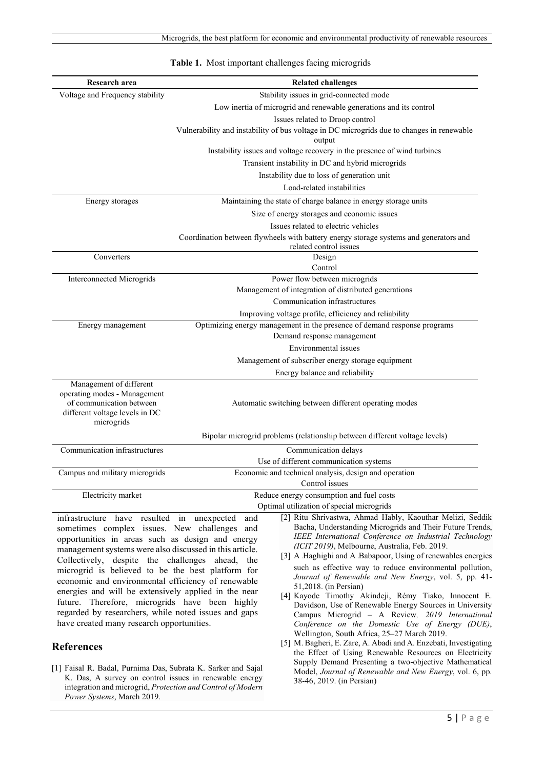| Research area                                                                                                                                                                                                                                                                                                                                                                                                                                                                     | <b>Related challenges</b>                                                                                                                                                                                                                                                                                                                                                                                                                                                                                                                                              |
|-----------------------------------------------------------------------------------------------------------------------------------------------------------------------------------------------------------------------------------------------------------------------------------------------------------------------------------------------------------------------------------------------------------------------------------------------------------------------------------|------------------------------------------------------------------------------------------------------------------------------------------------------------------------------------------------------------------------------------------------------------------------------------------------------------------------------------------------------------------------------------------------------------------------------------------------------------------------------------------------------------------------------------------------------------------------|
| Voltage and Frequency stability                                                                                                                                                                                                                                                                                                                                                                                                                                                   | Stability issues in grid-connected mode                                                                                                                                                                                                                                                                                                                                                                                                                                                                                                                                |
|                                                                                                                                                                                                                                                                                                                                                                                                                                                                                   | Low inertia of microgrid and renewable generations and its control                                                                                                                                                                                                                                                                                                                                                                                                                                                                                                     |
|                                                                                                                                                                                                                                                                                                                                                                                                                                                                                   | Issues related to Droop control                                                                                                                                                                                                                                                                                                                                                                                                                                                                                                                                        |
|                                                                                                                                                                                                                                                                                                                                                                                                                                                                                   | Vulnerability and instability of bus voltage in DC microgrids due to changes in renewable<br>output                                                                                                                                                                                                                                                                                                                                                                                                                                                                    |
|                                                                                                                                                                                                                                                                                                                                                                                                                                                                                   | Instability issues and voltage recovery in the presence of wind turbines                                                                                                                                                                                                                                                                                                                                                                                                                                                                                               |
|                                                                                                                                                                                                                                                                                                                                                                                                                                                                                   | Transient instability in DC and hybrid microgrids                                                                                                                                                                                                                                                                                                                                                                                                                                                                                                                      |
|                                                                                                                                                                                                                                                                                                                                                                                                                                                                                   | Instability due to loss of generation unit                                                                                                                                                                                                                                                                                                                                                                                                                                                                                                                             |
|                                                                                                                                                                                                                                                                                                                                                                                                                                                                                   | Load-related instabilities                                                                                                                                                                                                                                                                                                                                                                                                                                                                                                                                             |
| Energy storages                                                                                                                                                                                                                                                                                                                                                                                                                                                                   | Maintaining the state of charge balance in energy storage units                                                                                                                                                                                                                                                                                                                                                                                                                                                                                                        |
|                                                                                                                                                                                                                                                                                                                                                                                                                                                                                   | Size of energy storages and economic issues                                                                                                                                                                                                                                                                                                                                                                                                                                                                                                                            |
|                                                                                                                                                                                                                                                                                                                                                                                                                                                                                   | Issues related to electric vehicles                                                                                                                                                                                                                                                                                                                                                                                                                                                                                                                                    |
|                                                                                                                                                                                                                                                                                                                                                                                                                                                                                   | Coordination between flywheels with battery energy storage systems and generators and<br>related control issues                                                                                                                                                                                                                                                                                                                                                                                                                                                        |
| Converters                                                                                                                                                                                                                                                                                                                                                                                                                                                                        | Design                                                                                                                                                                                                                                                                                                                                                                                                                                                                                                                                                                 |
|                                                                                                                                                                                                                                                                                                                                                                                                                                                                                   | Control                                                                                                                                                                                                                                                                                                                                                                                                                                                                                                                                                                |
| <b>Interconnected Microgrids</b>                                                                                                                                                                                                                                                                                                                                                                                                                                                  | Power flow between microgrids                                                                                                                                                                                                                                                                                                                                                                                                                                                                                                                                          |
|                                                                                                                                                                                                                                                                                                                                                                                                                                                                                   | Management of integration of distributed generations                                                                                                                                                                                                                                                                                                                                                                                                                                                                                                                   |
|                                                                                                                                                                                                                                                                                                                                                                                                                                                                                   | Communication infrastructures                                                                                                                                                                                                                                                                                                                                                                                                                                                                                                                                          |
|                                                                                                                                                                                                                                                                                                                                                                                                                                                                                   | Improving voltage profile, efficiency and reliability                                                                                                                                                                                                                                                                                                                                                                                                                                                                                                                  |
| Energy management                                                                                                                                                                                                                                                                                                                                                                                                                                                                 | Optimizing energy management in the presence of demand response programs                                                                                                                                                                                                                                                                                                                                                                                                                                                                                               |
|                                                                                                                                                                                                                                                                                                                                                                                                                                                                                   | Demand response management                                                                                                                                                                                                                                                                                                                                                                                                                                                                                                                                             |
|                                                                                                                                                                                                                                                                                                                                                                                                                                                                                   | Environmental issues                                                                                                                                                                                                                                                                                                                                                                                                                                                                                                                                                   |
|                                                                                                                                                                                                                                                                                                                                                                                                                                                                                   | Management of subscriber energy storage equipment                                                                                                                                                                                                                                                                                                                                                                                                                                                                                                                      |
|                                                                                                                                                                                                                                                                                                                                                                                                                                                                                   | Energy balance and reliability                                                                                                                                                                                                                                                                                                                                                                                                                                                                                                                                         |
| Management of different<br>operating modes - Management<br>of communication between<br>different voltage levels in DC<br>microgrids                                                                                                                                                                                                                                                                                                                                               | Automatic switching between different operating modes                                                                                                                                                                                                                                                                                                                                                                                                                                                                                                                  |
|                                                                                                                                                                                                                                                                                                                                                                                                                                                                                   | Bipolar microgrid problems (relationship between different voltage levels)                                                                                                                                                                                                                                                                                                                                                                                                                                                                                             |
| Communication infrastructures                                                                                                                                                                                                                                                                                                                                                                                                                                                     | Communication delays                                                                                                                                                                                                                                                                                                                                                                                                                                                                                                                                                   |
|                                                                                                                                                                                                                                                                                                                                                                                                                                                                                   | Use of different communication systems                                                                                                                                                                                                                                                                                                                                                                                                                                                                                                                                 |
| Campus and military microgrids                                                                                                                                                                                                                                                                                                                                                                                                                                                    | Economic and technical analysis, design and operation                                                                                                                                                                                                                                                                                                                                                                                                                                                                                                                  |
|                                                                                                                                                                                                                                                                                                                                                                                                                                                                                   | Control issues                                                                                                                                                                                                                                                                                                                                                                                                                                                                                                                                                         |
| Electricity market                                                                                                                                                                                                                                                                                                                                                                                                                                                                | Reduce energy consumption and fuel costs                                                                                                                                                                                                                                                                                                                                                                                                                                                                                                                               |
|                                                                                                                                                                                                                                                                                                                                                                                                                                                                                   | Optimal utilization of special microgrids                                                                                                                                                                                                                                                                                                                                                                                                                                                                                                                              |
| infrastructure have resulted in unexpected<br>sometimes complex issues. New challenges and<br>opportunities in areas such as design and energy<br>management systems were also discussed in this article.<br>Collectively, despite the challenges ahead, the<br>microgrid is believed to be the best platform for<br>economic and environmental efficiency of renewable<br>energies and will be extensively applied in the near<br>future. Therefore, microgrids have been highly | [2] Ritu Shrivastwa, Ahmad Hably, Kaouthar Melizi, Seddik<br>and<br>Bacha, Understanding Microgrids and Their Future Trends,<br>IEEE International Conference on Industrial Technology<br>(ICIT 2019), Melbourne, Australia, Feb. 2019.<br>[3] A Haghighi and A Babapoor, Using of renewables energies<br>such as effective way to reduce environmental pollution,<br>Journal of Renewable and New Energy, vol. 5, pp. 41-<br>51,2018. (in Persian)<br>[4] Kayode Timothy Akindeji, Rémy Tiako, Innocent E.<br>Davidson, Use of Renewable Energy Sources in University |

#### **Table 1.** Most important challenges facing microgrids

#### **References**

[1] [Faisal R. Badal, Purnima Das, Subrata K. Sarker](javascript:;) and [Sajal](javascript:;) [K. Das,](javascript:;) A survey on control issues in renewable energy integration and microgrid, *[Protection and Control of Modern](https://link.springer.com/journal/41601)  [Power Systems](https://link.springer.com/journal/41601)*, March 2019.

have created many research opportunities.

Wellington, South Africa, 25–27 March 2019. [5] M. Bagheri, E. Zare, A. Abadi and A. Enzebati, Investigating the Effect of Using Renewable Resources on Electricity Supply Demand Presenting a two-objective Mathematical Model, *Journal of Renewable and New Energy*, vol. 6, pp. 38-46, 2019. (in Persian)

*Conference on the Domestic Use of Energy (DUE)*,